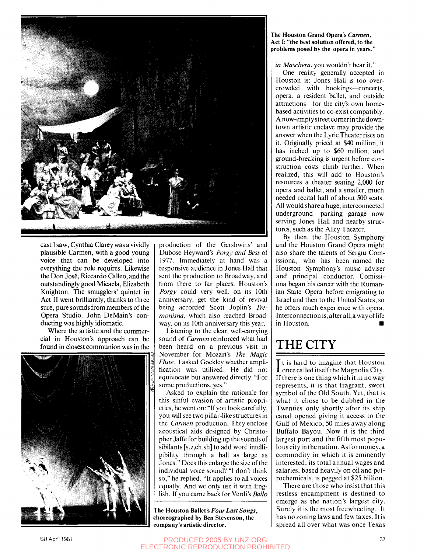

cast I saw, Cynthia Clarey was a vividly plausible Carmen, with a good young voice that can be developed into everything the role requires. Likewise the Don Jose, Riccardo Calleo, and the outstandingly good Micaela, Elizabeth Knighton. The smugglers' quintet in Act II went brilliantly, thanks to three sure, pure sounds from members of the Opera Studio. John DeMain's conducting was highly idiomatic.

Where the artistic and the commercial in Houston's approach can be found in closest communion was in the



production of the Gershwins' and Dubose Hey ward's *Porgy and Bess* of 1977. Immediately at hand was a responsive audience in Jones Hall that sent the production to Broadway, and from there to far places. Houston's *Porgy* could very well, on its 10th anniversary, get the kind of revival being accorded Scott Joplin's *Tremonisha,* which also reached Broadway, on its 10th anniversary this year.

Listening to the clear, well-carrying sound of *Carmen* reinforced what had been heard on a previous visit in November for Mozart's *The Magic Flute.* I asked Gockley whether amplification was utilized. He did not equivocate but answered directly: "For some productions, yes."

Asked to explain the rationale for this sinful evasion of artistic proprieties, he went on: "If you look carefully, you will see two pillar-like structures in the *Carmen* production. They enclose acoustical aids designed by Christopher Jaffe for building up the sounds of sibilants [s,z,ch,sh] to add word intelligibility through a hall as large as Jones." Does this enlarge the size of the individual voice sound? "I don't think so," he replied. "It applies to all voices equally. And we only use it with English. If you came back for Verdi's *Ballo* 

The Houston Ballet's Four Last Songs, choreographed by Ben Stevenson, the company's artistic director.

#### The Houston Grand Opera's *Carmen,*  Act I: "the best solution offered, to the problems posed by the opera in years."

#### *in Maschera,* you wouldn't hear it."

One reality generally accepted in Houston is: Jones Hall is too overcrowded with bookings—concerts, opera, a resident ballet, and outside attractions—for the city's own homebased activities to co-exist compatibly. A now-empty street corner in the downtown artistic enclave may provide the answer when the Lyric Theater rises on it. Originally priced at \$40 million, it has inched up to \$60 million, and ground-breaking is urgent before construction costs climb further. When realized, this will add to Houston's resources a theater seating 2,000 for opera and ballet, and a smaller, much needed recital hall of about 500 seats. All would share a huge, interconnected underground parking garage now serving Jones Hall and nearby structures, such as the Alley Theater.

By then, the Houston Symphony and the Houston Grand Opera might also share the talents of Sergiu Comissiona, who has been named the Houston Symphony's music adviser and principal conductor. Comissiona began his career with the Rumanian State Opera before emigrating to Israel and then to the United States, so he offers much experience with opera. Interconnection is, after all, a way of life in Houston.

## THE CITY

It is hard to imagine that Houston<br>once called itself the Magnolia City.  $\mathbf{\bar{I}}$  t is hard to imagine that Houston If there is one thing which it in no way represents, it is that fragrant, sweet symbol of the Old South. Yet, that is what it chose to be dubbed in the Twenties only shortly after its ship canal opened giving it access to the Gulf of Mexico, 50 miles away along Buffalo Bayou. Now it is the third largest port and the fifth most populous city in the nation. As for money, a commodity in which it is eminently interested, its total annual wages and salaries, based heavily on oil and petrochemicals, is pegged at \$25 billion.

There are those who insist that this restless encampment is destined to emerge as the nation's largest city. Surely it is the most freewheeling. It has no zoning laws and few taxes. It is spread all over what was once Texas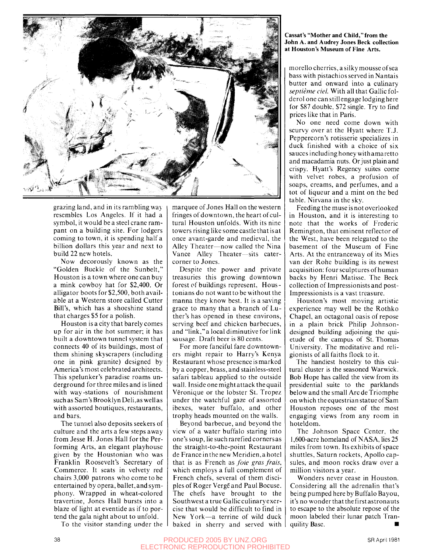

grazing land, and in its rambling way resembles Los Angeles. If it had a symbol, it would be a steel crane rampant on a building site. For lodgers coming to town, it is spending half a billion dollars this year and next to build 22 new hotels.

Now decorously known as the "Golden Buckle of the Sunbelt," Houston is a town where one can buy a mink cowboy hat for \$2,400. Or alligator boots for \$2,500, both available at a Western store called Cutter Bill's, which has a shoeshine stand that charges \$5 for a polish.

Houston is a city that barely comes up for air in the hot summer; it has built a downtown tunnel system that connects 40 of its buildings, most of them shining skyscrapers (including one in pink granite) designed by America's most celebrated architects. This spelunker's paradise roams underground for three miles and is lined with way-stations of nourishment such as Sam's Brooklyn Deli,as well as with assorted boutiques, restaurants, and bars.

The tunnel also deposits seekers of culture and the arts a few steps away from Jesse H. Jones Hall for the Performing Arts, an elegant playhouse given by the Houstonian who was Franklin Roosevelt's Secretary of Commerce. It seats in velvety red chairs 3,000 patrons who come to be entertained by opera, ballet, and symphony. Wrapped in wheat-colored travertine, Jones Hall bursts into a blaze of light at eventide as if to portend the gala night about to unfold.

To the visitor standing under the

marquee of Jones Hall on the western fringes of downtown, the heart of cultural Houston unfolds. With its nine towers rising like some castle that is at once avant-garde and medieval, the Alley Theater—now called the Nina Vance Alley Theater—sits eatercorner to Jones.

Despite the power and private treasuries this growing downtown forest of buildings represent, Houstoniansdo not wanttobe without the manna they know best. It is a saving grace to many that a branch of Luther's has opened in these environs, serving beef and chicken barbecues, and "link,"a local diminutive for link sausage. Draft beer is 80 cents.

For more fanciful fare downtowners might repair to Harry's Kenya Restaurant whose presence is marked by a copper, brass, and stainless-steel safari tableau applied to the outside wall. Inside one might attack the quail Veronique or the lobster St. Tropez under the watchful gaze of assorted ibexes, water buffalo, and other trophy heads mounted on the walls.

Beyond barbecue, and beyond the view of a water buffalo staring into one's soup, lie such rarefied cornersas the straight-to-the-point Restaurant de France in the new Meridien, a hotel that is as French as *foie gras frais,*  which employs a full complement of French chefs, several of them disciples of Roger Verge and Paul Bocuse. The chefs have brought to the Southwest a true Gallicculinaryexercise that would be difficult to find in New York—a terrine of wild duck baked in sherry and served with

#### Cassat's "Mother and Child,"from the John A. and Audrey Jones Beck collection at Houston's Museum of Fine Arts.

morello cherries, a silky mousse of sea bass with pistachios served in Nantais butter and onward into a culinary *septieme del.* With all that Gallic folderol one can still engage lodging here for \$87 double, \$72 single. Try to find prices like that in Paris.

No one need come down with scurvy over at the Hyatt where T.J. Peppercorn's rotisserie specializes in duck finished with a choice of six sauces including honey with amaretto and macadamia nuts. Orjust plain and crispy. Hyatt's Regency suites come with velvet robes, a profusion of soaps, creams, and perfumes, and a tot of liqueur and a mint on the bed table. Nirvana in the sky.

Feeding the muse is not overlooked in Houston, and it is interesting to note that the works of Frederic Remington, that eminent reflector of the West, have been relegated to the basement of the Museum of Fine Arts. At the entranceway of its Mies van der Rohe building is its newest acquisition: four sculptures of human backs by Henri Matisse. The Beck collection of Impressionists and post-Impressionists is a vast treasure.

Houston's most moving artistic experience may well be the Rothko Chapel, an octagonal oasis of repose in a plain brick Philip Johnsondesigned building adjoining the quietude of the campus of St. Thomas University. The meditative and religionists of all faiths flock to it.

The handiest hostelry to this cultural cluster is the seasoned Warwick. Bob Hope has called the view from its presidential suite to the parklands below and the small Arc de Triomphe on which the equestrian statue of Sam Houston reposes one of the most engaging views from any room in hoteldom.

The Johnson Space Center, the 1,600-acre homeland of NASA, lies 25 miles from town. Its exhibits of space shuttles, Saturn rockets, Apollo capsules, and moon rocks draw over a million visitors a year.

Wonders never cease in Houston. Considering all the adrenalin that's being pumped here by Buffalo Bayou, it's no wonder that the first astronauts to escape to the absolute repose of the moon labeled their lunar patch Tranquility Base. •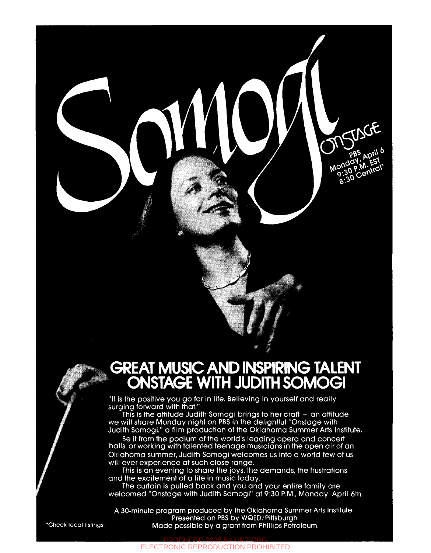## **GREAT MUSIC AND INSPIRING TALENT ONSTAGE WITH JUDITH SOMOGI**

Monday, April

Central

MSWCF

"It is the positive you go for in life. Believing in yourself and really surging forward with that."

 $\overline{\phantom{a}}$   $\overline{\phantom{a}}$ 

' / \*

This is the attitude Judith Somogi brings to her craft - an attitude we will share Monday night on PBS in the delightful "Onstage with Judith Somogi," α film production of the Oklahoma Summer Arts Institute.

Be it from the podium of the world's leading opera and concert halls, or working with talented teenage musicians in the open air of an Oklahoma summer, Judith Somogi welcomes us into α world few of us will ever experience at such close range.

This is an evening to share the joys, the demands, the frustrations and the excitement of α life in music today.

The curtain is pulled back and you and your entire family are welcomed "Onstage with Judith Somogi" at 9:30 P.M., Monday, April 6th.

A 30-minute program produced by the Oklahoma Summer Arts Institute. Presented on PBS by WQED/Pittsburgh. 'Check local listings. Made possible by α grant from Phillips Petroleum.

PRODUCED 2005 BY UNZ.ORG